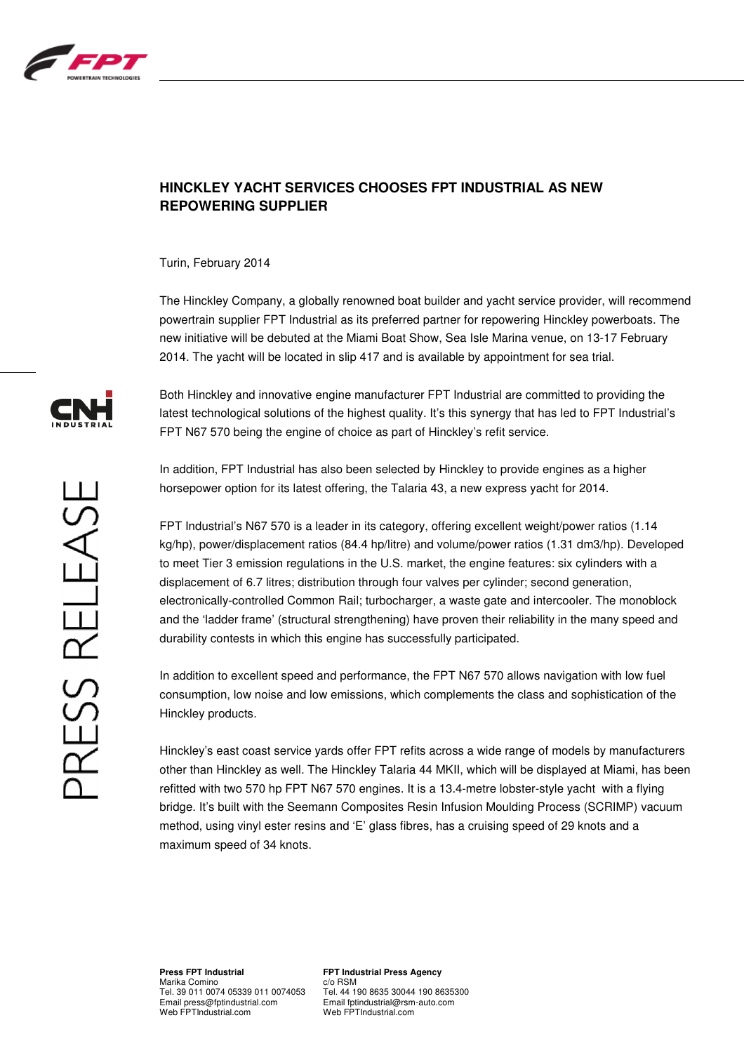

## **HINCKLEY YACHT SERVICES CHOOSES FPT INDUSTRIAL AS NEW REPOWERING SUPPLIER**

Turin, February 2014

The Hinckley Company, a globally renowned boat builder and yacht service provider, will recommend powertrain supplier FPT Industrial as its preferred partner for repowering Hinckley powerboats. The new initiative will be debuted at the Miami Boat Show, Sea Isle Marina venue, on 13-17 February 2014. The yacht will be located in slip 417 and is available by appointment for sea trial.

PRESS RELEASE

Both Hinckley and innovative engine manufacturer FPT Industrial are committed to providing the latest technological solutions of the highest quality. It's this synergy that has led to FPT Industrial's FPT N67 570 being the engine of choice as part of Hinckley's refit service.

In addition, FPT Industrial has also been selected by Hinckley to provide engines as a higher horsepower option for its latest offering, the Talaria 43, a new express yacht for 2014.

FPT Industrial's N67 570 is a leader in its category, offering excellent weight/power ratios (1.14 kg/hp), power/displacement ratios (84.4 hp/litre) and volume/power ratios (1.31 dm3/hp). Developed to meet Tier 3 emission regulations in the U.S. market, the engine features: six cylinders with a displacement of 6.7 litres; distribution through four valves per cylinder; second generation, electronically-controlled Common Rail; turbocharger, a waste gate and intercooler. The monoblock and the 'ladder frame' (structural strengthening) have proven their reliability in the many speed and durability contests in which this engine has successfully participated.

In addition to excellent speed and performance, the FPT N67 570 allows navigation with low fuel consumption, low noise and low emissions, which complements the class and sophistication of the Hinckley products.

Hinckley's east coast service yards offer FPT refits across a wide range of models by manufacturers other than Hinckley as well. The Hinckley Talaria 44 MKII, which will be displayed at Miami, has been refitted with two 570 hp FPT N67 570 engines. It is a 13.4-metre lobster-style yacht with a flying bridge. It's built with the Seemann Composites Resin Infusion Moulding Process (SCRIMP) vacuum method, using vinyl ester resins and 'E' glass fibres, has a cruising speed of 29 knots and a maximum speed of 34 knots.

**Press FPT Industrial**  Marika Comino Tel. 39 011 0074 05339 011 0074053 Email press@fptindustrial.com Web FPTIndustrial.com

**FPT Industrial Press Agency**  c/o RSM Tel. 44 190 8635 30044 190 8635300 Email fptindustrial@rsm-auto.com Web FPTIndustrial.com